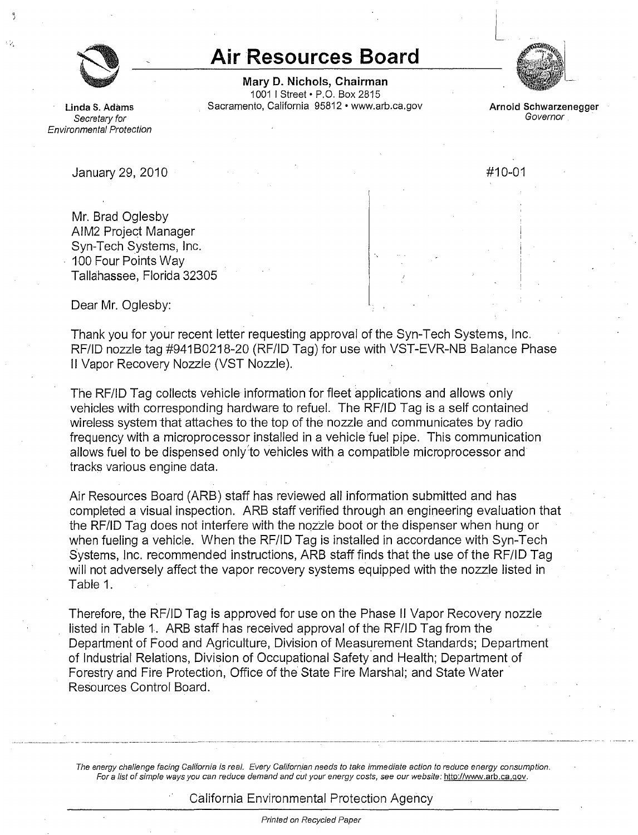

## **Air Resources Board**

**Mary D. Nichols, Chairman**  1001 I Street• P.O. Box 2815 **Linda S. Adams Sacramento, California 95812 • www.arb.ca.gov <b>Arnold Schwarzenegger Covernor Becretary for** 



Secretary for Governor control of the Secretary for Governor control of Governor control of Governor control of  $G$ Environmental Protection

January 29, 2010 #10-01

Mr. Brad Oglesby AIM2 Project Manager Syn-Tech Systems, Inc. 100 Four Points Way Tallahassee, Florida 32305

Dear Mr. Oglesby:

Thank you for your recent letter requesting approval of the Syn-Tech Systems, Inc. RF/ID nozzle tag #941B0218-20 (RF/ID Tag) for use with VST-EVR-NB Balance Phase II Vapor Recovery Nozzle (VST Nozzle).

The RF/ID Tag collects vehicle information for fleet applications and allows only vehicles with corresponding hardware to refuel. The RF/ID Tag is a self contained wireless system that attaches to the top of the nozzle and communicates by radio frequency with a microprocessor installed in a vehicle fuel pipe. This communication allows fuel to be dispensed only to vehicles with a compatible microprocessor and tracks various engine data.

Air Resources Board (ARB) staff has reviewed all information submitted and has completed a visual inspection. ARB staff verified through an engineering evaluation that the RF/ID Tag does not interfere with the nozzle boot or the dispenser when hung or when fueling a vehicle. When the RF/ID Tag is installed in accordance with Syn-Tech Systems, Inc. recommended instructions, ARB staff finds that the use of the RF/ID Tag will not adversely affect the vapor recovery systems equipped with the nozzle listed in Table 1.

Therefore, the RF/ID Tag is approved for use on the Phase II Vapor Recovery nozzle listed in Table 1. ARB staff has received approval of the RF/ID Tag from the Department of Food and Agriculture, Division of Measurement Standards; Department of Industrial Relations, Division of Occupational Safety'and Health; Department of Forestry and Fire Protection, Office of the State Fire Marshal; and State Water · Resources Control Board.

The energy challenge facing California is real. Every Califomian needs to take immediate action to reduce energy consumption. For a list of simple ways you can reduce demand and cut your energy costs, see our website: <http://www.arb.ca.gov>.

## California Environmental Protection Agency